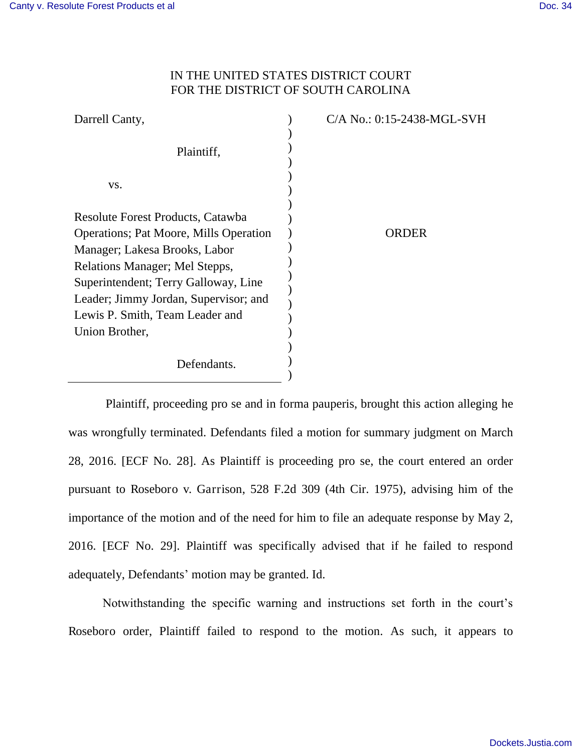## IN THE UNITED STATES DISTRICT COURT FOR THE DISTRICT OF SOUTH CAROLINA

| Darrell Canty,                                 | C/A No.: 0:15-2438-MGL-SVH |
|------------------------------------------------|----------------------------|
| Plaintiff,                                     |                            |
| VS.                                            |                            |
| Resolute Forest Products, Catawba              |                            |
| <b>Operations</b> ; Pat Moore, Mills Operation | ORDER                      |
| Manager; Lakesa Brooks, Labor                  |                            |
| Relations Manager; Mel Stepps,                 |                            |
| Superintendent; Terry Galloway, Line           |                            |
| Leader; Jimmy Jordan, Supervisor; and          |                            |
| Lewis P. Smith, Team Leader and                |                            |
| Union Brother,                                 |                            |
| Defendants.                                    |                            |

 Plaintiff, proceeding pro se and in forma pauperis, brought this action alleging he was wrongfully terminated. Defendants filed a motion for summary judgment on March 28, 2016. [ECF No. 28]. As Plaintiff is proceeding pro se, the court entered an order pursuant to Roseboro v. Garrison, 528 F.2d 309 (4th Cir. 1975), advising him of the importance of the motion and of the need for him to file an adequate response by May 2, 2016. [ECF No. 29]. Plaintiff was specifically advised that if he failed to respond adequately, Defendants' motion may be granted. Id.

Notwithstanding the specific warning and instructions set forth in the court's Roseboro order, Plaintiff failed to respond to the motion. As such, it appears to